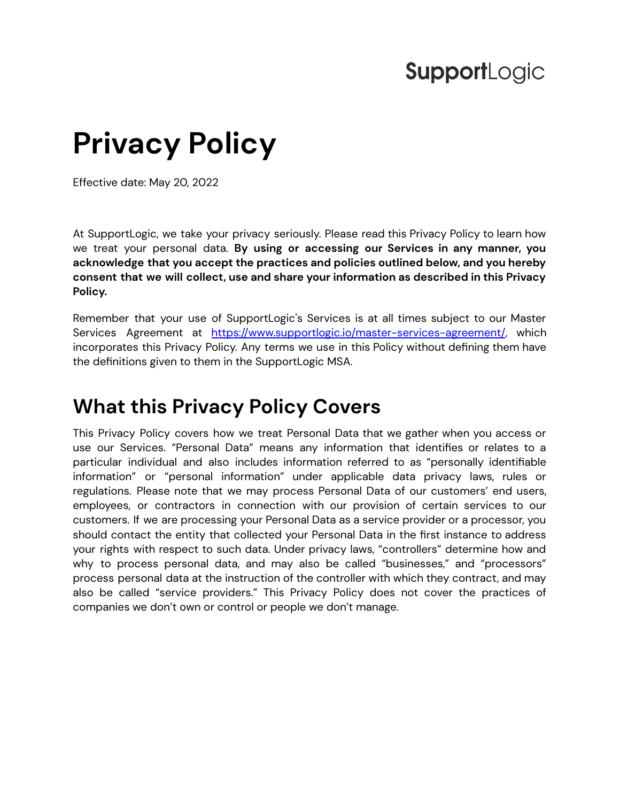## **SupportLogic**

# **Privacy Policy**

Effective date: May 20, 2022

At SupportLogic, we take your privacy seriously. Please read this Privacy Policy to learn how we treat your personal data. **By using or accessing our Services in any manner, you acknowledge that you accept the practices and policies outlined below, and you hereby consent that we will collect, use and share your information as described in this Privacy Policy.**

Remember that your use of SupportLogic's Services is at all times subject to our Master Services Agreement at <https://www.supportlogic.io/master-services-agreement/>, which incorporates this Privacy Policy. Any terms we use in this Policy without defining them have the definitions given to them in the SupportLogic MSA.

### <span id="page-0-0"></span>**What this Privacy Policy Covers**

This Privacy Policy covers how we treat Personal Data that we gather when you access or use our Services. "Personal Data" means any information that identifies or relates to a particular individual and also includes information referred to as "personally identifiable information" or "personal information" under applicable data privacy laws, rules or regulations. Please note that we may process Personal Data of our customers' end users, employees, or contractors in connection with our provision of certain services to our customers. If we are processing your Personal Data as a service provider or a processor, you should contact the entity that collected your Personal Data in the first instance to address your rights with respect to such data. Under privacy laws, "controllers" determine how and why to process personal data, and may also be called "businesses," and "processors" process personal data at the instruction of the controller with which they contract, and may also be called "service providers." This Privacy Policy does not cover the practices of companies we don't own or control or people we don't manage.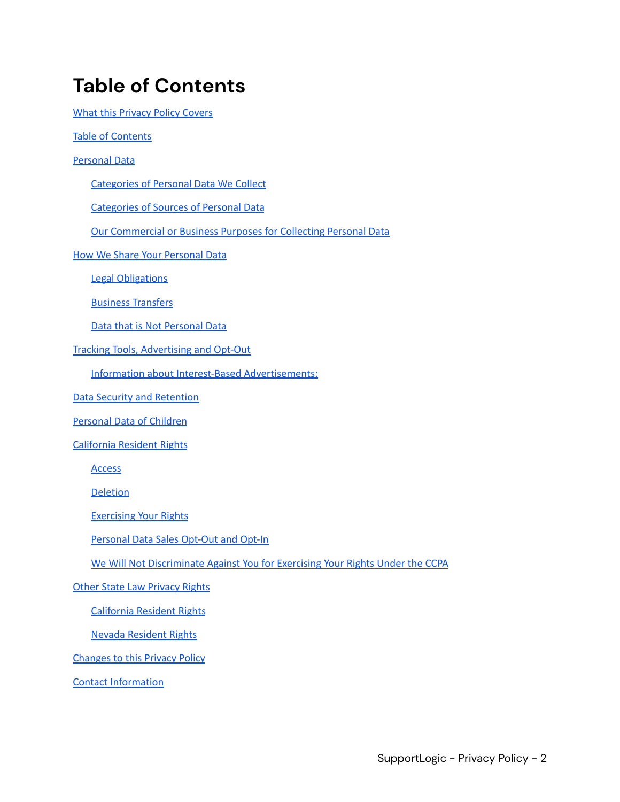### <span id="page-1-0"></span>**Table of Contents**

What this [Privacy](#page-0-0) Policy Covers

Table of [Contents](#page-1-0)

[Personal](#page-2-0) Data

[Categories](#page-2-1) of Personal Data We Collect

[Categories](#page-3-0) of Sources of Personal Data

Our [Commercial](#page-3-1) or Business Purposes for Collecting Personal Data

How We Share Your [Personal](#page-4-0) Data

Legal [Obligations](#page-5-0)

Business [Transfers](#page-5-1)

Data that is Not [Personal](#page-5-2) Data

Tracking Tools, [Advertising](#page-5-3) and Opt-Out

Information about Interest-Based [Advertisements:](#page-6-0)

Data Security and [Retention](#page-7-0)

[Personal](#page-7-1) Data of Children

[California](#page-8-0) Resident Rights

**[Access](#page-8-1)** 

**[Deletion](#page-8-2)** 

[Exercising](#page-9-0) Your Rights

[Personal](#page-9-1) Data Sales Opt-Out and Opt-In

We Will Not [Discriminate](#page-9-2) Against You for Exercising Your Rights Under the CCPA

Other State Law [Privacy](#page-10-0) Rights

[California](#page-10-1) Resident Rights

Nevada [Resident](#page-10-2) Rights

[Changes](#page-10-3) to this Privacy Policy

Contact [Information](#page-11-0)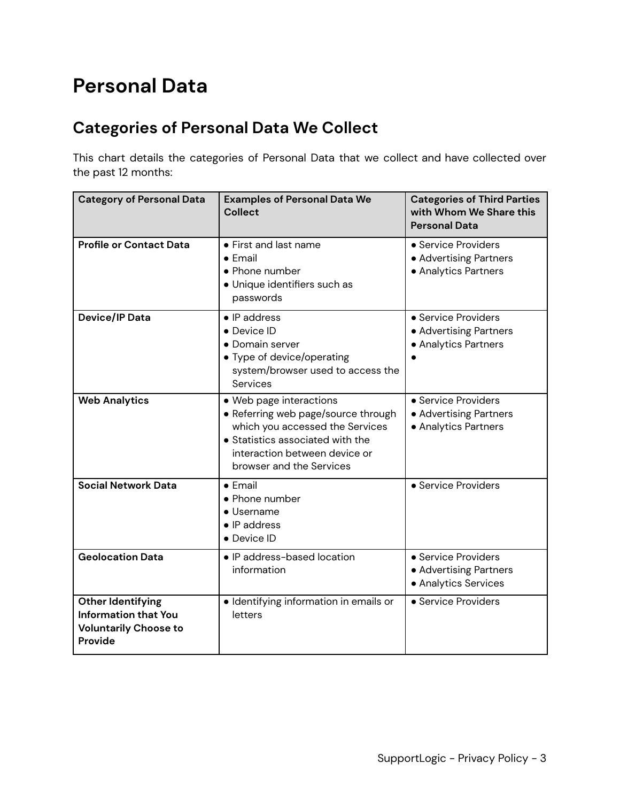### <span id="page-2-0"></span>**Personal Data**

### <span id="page-2-1"></span>**Categories of Personal Data We Collect**

This chart details the categories of Personal Data that we collect and have collected over the past 12 months:

| <b>Category of Personal Data</b>                                                            | <b>Examples of Personal Data We</b><br><b>Collect</b>                                                                                                                                              | <b>Categories of Third Parties</b><br>with Whom We Share this<br><b>Personal Data</b> |
|---------------------------------------------------------------------------------------------|----------------------------------------------------------------------------------------------------------------------------------------------------------------------------------------------------|---------------------------------------------------------------------------------------|
| <b>Profile or Contact Data</b>                                                              | • First and last name<br>$\bullet$ Fmail<br>• Phone number<br>· Unique identifiers such as<br>passwords                                                                                            | • Service Providers<br>• Advertising Partners<br>• Analytics Partners                 |
| <b>Device/IP Data</b>                                                                       | $\bullet$ IP address<br>• Device ID<br>• Domain server<br>• Type of device/operating<br>system/browser used to access the<br>Services                                                              | • Service Providers<br>• Advertising Partners<br>• Analytics Partners                 |
| <b>Web Analytics</b>                                                                        | • Web page interactions<br>• Referring web page/source through<br>which you accessed the Services<br>• Statistics associated with the<br>interaction between device or<br>browser and the Services | • Service Providers<br>• Advertising Partners<br>• Analytics Partners                 |
| <b>Social Network Data</b>                                                                  | $\bullet$ Email<br>• Phone number<br>• Username<br>$\bullet$ IP address<br>• Device ID                                                                                                             | • Service Providers                                                                   |
| <b>Geolocation Data</b>                                                                     | · IP address-based location<br>information                                                                                                                                                         | • Service Providers<br>• Advertising Partners<br>• Analytics Services                 |
| Other Identifying<br><b>Information that You</b><br><b>Voluntarily Choose to</b><br>Provide | · Identifying information in emails or<br>letters                                                                                                                                                  | • Service Providers                                                                   |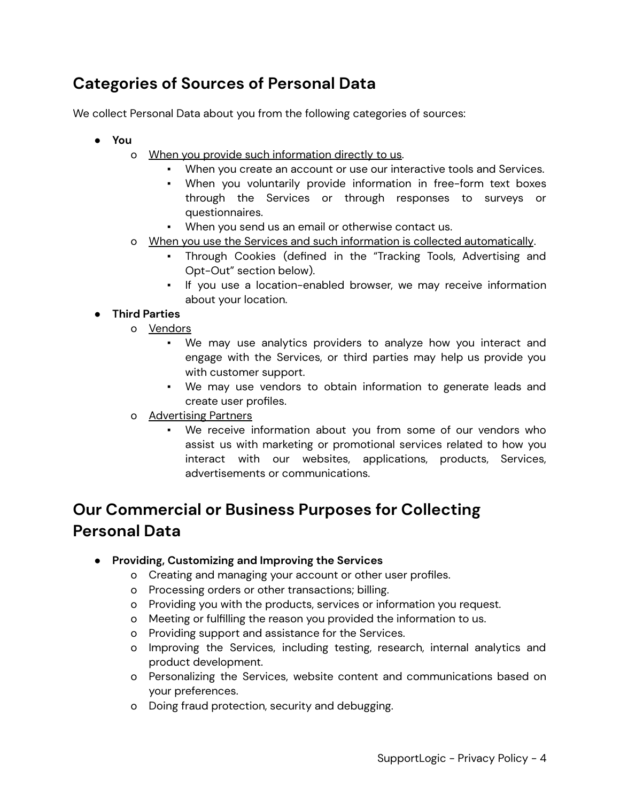#### <span id="page-3-0"></span>**Categories of Sources of Personal Data**

We collect Personal Data about you from the following categories of sources:

- **● You**
	- o When you provide such information directly to us.
		- When you create an account or use our interactive tools and Services.
		- When you voluntarily provide information in free-form text boxes through the Services or through responses to surveys or questionnaires.
		- When you send us an email or otherwise contact us.
	- o When you use the Services and such information is collected automatically.
		- Through Cookies (defined in the "Tracking Tools, Advertising and Opt-Out" section below).
		- If you use a location-enabled browser, we may receive information about your location.

#### **● Third Parties**

- o Vendors
	- We may use analytics providers to analyze how you interact and engage with the Services, or third parties may help us provide you with customer support.
	- We may use vendors to obtain information to generate leads and create user profiles.
- o Advertising Partners
	- We receive information about you from some of our vendors who assist us with marketing or promotional services related to how you interact with our websites, applications, products, Services, advertisements or communications.

### <span id="page-3-1"></span>**Our Commercial or Business Purposes for Collecting Personal Data**

- **● Providing, Customizing and Improving the Services**
	- o Creating and managing your account or other user profiles.
	- o Processing orders or other transactions; billing.
	- o Providing you with the products, services or information you request.
	- o Meeting or fulfilling the reason you provided the information to us.
	- o Providing support and assistance for the Services.
	- o Improving the Services, including testing, research, internal analytics and product development.
	- o Personalizing the Services, website content and communications based on your preferences.
	- o Doing fraud protection, security and debugging.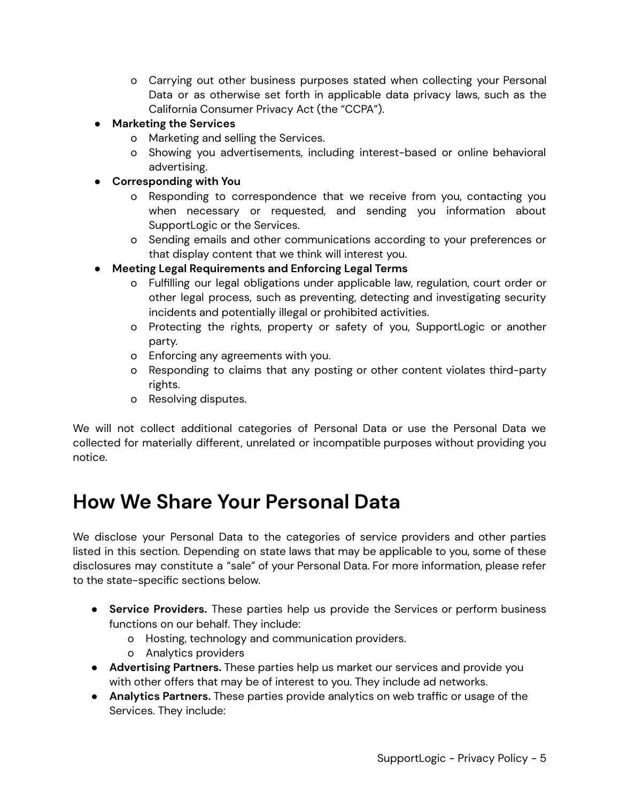- o Carrying out other business purposes stated when collecting your Personal Data or as otherwise set forth in applicable data privacy laws, such as the California Consumer Privacy Act (the "CCPA").
- **● Marketing the Services**
	- o Marketing and selling the Services.
	- o Showing you advertisements, including interest-based or online behavioral advertising.
- **● Corresponding with You**
	- o Responding to correspondence that we receive from you, contacting you when necessary or requested, and sending you information about SupportLogic or the Services.
	- o Sending emails and other communications according to your preferences or that display content that we think will interest you.
- **● Meeting Legal Requirements and Enforcing Legal Terms**
	- o Fulfilling our legal obligations under applicable law, regulation, court order or other legal process, such as preventing, detecting and investigating security incidents and potentially illegal or prohibited activities.
	- o Protecting the rights, property or safety of you, SupportLogic or another party.
	- o Enforcing any agreements with you.
	- o Responding to claims that any posting or other content violates third-party rights.
	- o Resolving disputes.

We will not collect additional categories of Personal Data or use the Personal Data we collected for materially different, unrelated or incompatible purposes without providing you notice.

### <span id="page-4-0"></span>**How We Share Your Personal Data**

We disclose your Personal Data to the categories of service providers and other parties listed in this section. Depending on state laws that may be applicable to you, some of these disclosures may constitute a "sale" of your Personal Data. For more information, please refer to the state-specific sections below.

- **● Service Providers.** These parties help us provide the Services or perform business functions on our behalf. They include:
	- o Hosting, technology and communication providers.
	- o Analytics providers
- **● Advertising Partners.** These parties help us market our services and provide you with other offers that may be of interest to you. They include ad networks.
- **Analytics Partners.** These parties provide analytics on web traffic or usage of the Services. They include: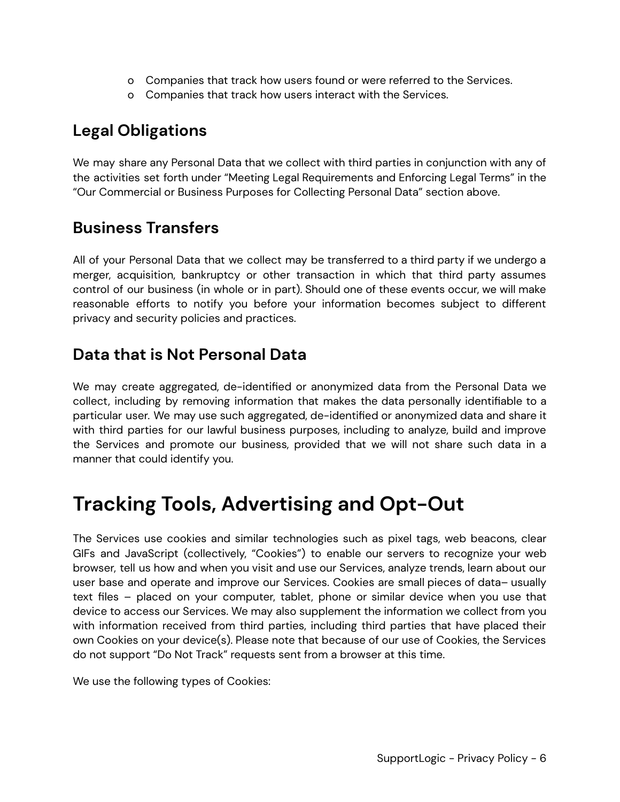- o Companies that track how users found or were referred to the Services.
- o Companies that track how users interact with the Services.

### <span id="page-5-0"></span>**Legal Obligations**

We may share any Personal Data that we collect with third parties in conjunction with any of the activities set forth under "Meeting Legal Requirements and Enforcing Legal Terms" in the "Our Commercial or Business Purposes for Collecting Personal Data" section above.

#### <span id="page-5-1"></span>**Business Transfers**

All of your Personal Data that we collect may be transferred to a third party if we undergo a merger, acquisition, bankruptcy or other transaction in which that third party assumes control of our business (in whole or in part). Should one of these events occur, we will make reasonable efforts to notify you before your information becomes subject to different privacy and security policies and practices.

#### <span id="page-5-2"></span>**Data that is Not Personal Data**

We may create aggregated, de-identified or anonymized data from the Personal Data we collect, including by removing information that makes the data personally identifiable to a particular user. We may use such aggregated, de-identified or anonymized data and share it with third parties for our lawful business purposes, including to analyze, build and improve the Services and promote our business, provided that we will not share such data in a manner that could identify you.

### <span id="page-5-3"></span>**Tracking Tools, Advertising and Opt-Out**

The Services use cookies and similar technologies such as pixel tags, web beacons, clear GIFs and JavaScript (collectively, "Cookies") to enable our servers to recognize your web browser, tell us how and when you visit and use our Services, analyze trends, learn about our user base and operate and improve our Services. Cookies are small pieces of data– usually text files – placed on your computer, tablet, phone or similar device when you use that device to access our Services. We may also supplement the information we collect from you with information received from third parties, including third parties that have placed their own Cookies on your device(s). Please note that because of our use of Cookies, the Services do not support "Do Not Track" requests sent from a browser at this time.

We use the following types of Cookies: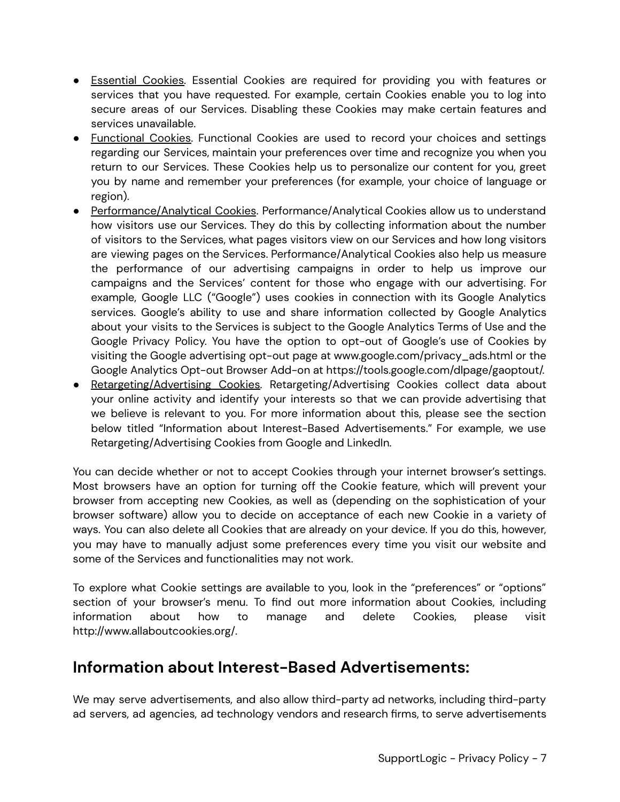- Essential Cookies. Essential Cookies are required for providing you with features or services that you have requested. For example, certain Cookies enable you to log into secure areas of our Services. Disabling these Cookies may make certain features and services unavailable.
- Functional Cookies. Functional Cookies are used to record your choices and settings regarding our Services, maintain your preferences over time and recognize you when you return to our Services. These Cookies help us to personalize our content for you, greet you by name and remember your preferences (for example, your choice of language or region).
- Performance/Analytical Cookies. Performance/Analytical Cookies allow us to understand how visitors use our Services. They do this by collecting information about the number of visitors to the Services, what pages visitors view on our Services and how long visitors are viewing pages on the Services. Performance/Analytical Cookies also help us measure the performance of our advertising campaigns in order to help us improve our campaigns and the Services' content for those who engage with our advertising. For example, Google LLC ("Google") uses cookies in connection with its Google Analytics services. Google's ability to use and share information collected by Google Analytics about your visits to the Services is subject to the Google Analytics Terms of Use and the Google Privacy Policy. You have the option to opt-out of Google's use of Cookies by visiting the Google advertising opt-out page at www.google.com/privacy\_ads.html or the Google Analytics Opt-out Browser Add-on at https://tools.google.com/dlpage/gaoptout/.
- Retargeting/Advertising Cookies. Retargeting/Advertising Cookies collect data about your online activity and identify your interests so that we can provide advertising that we believe is relevant to you. For more information about this, please see the section below titled "Information about Interest-Based Advertisements." For example, we use Retargeting/Advertising Cookies from Google and LinkedIn.

You can decide whether or not to accept Cookies through your internet browser's settings. Most browsers have an option for turning off the Cookie feature, which will prevent your browser from accepting new Cookies, as well as (depending on the sophistication of your browser software) allow you to decide on acceptance of each new Cookie in a variety of ways. You can also delete all Cookies that are already on your device. If you do this, however, you may have to manually adjust some preferences every time you visit our website and some of the Services and functionalities may not work.

To explore what Cookie settings are available to you, look in the "preferences" or "options" section of your browser's menu. To find out more information about Cookies, including information about how to manage and delete Cookies, please visit <http://www.allaboutcookies.org/>.

#### <span id="page-6-0"></span>**Information about Interest-Based Advertisements:**

We may serve advertisements, and also allow third-party ad networks, including third-party ad servers, ad agencies, ad technology vendors and research firms, to serve advertisements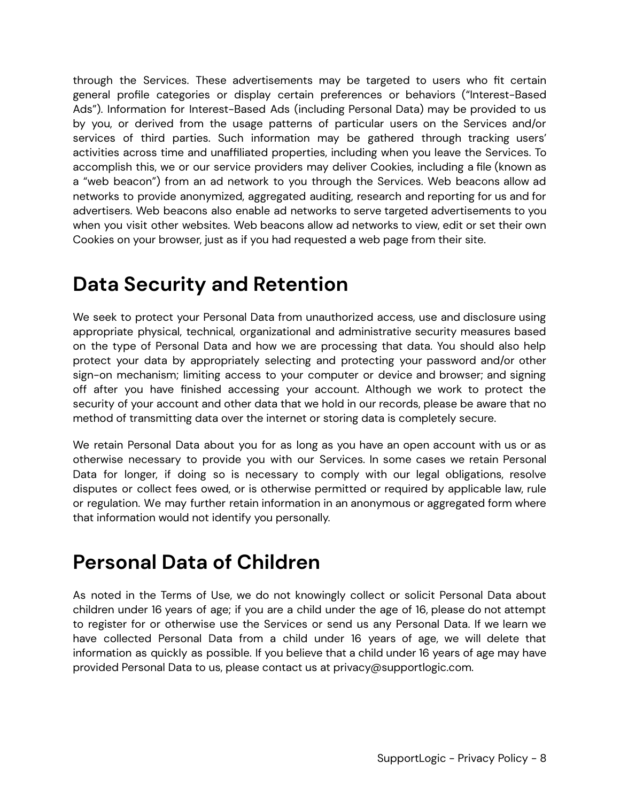through the Services. These advertisements may be targeted to users who fit certain general profile categories or display certain preferences or behaviors ("Interest-Based Ads"). Information for Interest-Based Ads (including Personal Data) may be provided to us by you, or derived from the usage patterns of particular users on the Services and/or services of third parties. Such information may be gathered through tracking users' activities across time and unaffiliated properties, including when you leave the Services. To accomplish this, we or our service providers may deliver Cookies, including a file (known as a "web beacon") from an ad network to you through the Services. Web beacons allow ad networks to provide anonymized, aggregated auditing, research and reporting for us and for advertisers. Web beacons also enable ad networks to serve targeted advertisements to you when you visit other websites. Web beacons allow ad networks to view, edit or set their own Cookies on your browser, just as if you had requested a web page from their site.

### <span id="page-7-0"></span>**Data Security and Retention**

We seek to protect your Personal Data from unauthorized access, use and disclosure using appropriate physical, technical, organizational and administrative security measures based on the type of Personal Data and how we are processing that data. You should also help protect your data by appropriately selecting and protecting your password and/or other sign-on mechanism; limiting access to your computer or device and browser; and signing off after you have finished accessing your account. Although we work to protect the security of your account and other data that we hold in our records, please be aware that no method of transmitting data over the internet or storing data is completely secure.

We retain Personal Data about you for as long as you have an open account with us or as otherwise necessary to provide you with our Services. In some cases we retain Personal Data for longer, if doing so is necessary to comply with our legal obligations, resolve disputes or collect fees owed, or is otherwise permitted or required by applicable law, rule or regulation. We may further retain information in an anonymous or aggregated form where that information would not identify you personally.

### <span id="page-7-1"></span>**Personal Data of Children**

As noted in the Terms of Use, we do not knowingly collect or solicit Personal Data about children under 16 years of age; if you are a child under the age of 16, please do not attempt to register for or otherwise use the Services or send us any Personal Data. If we learn we have collected Personal Data from a child under 16 years of age, we will delete that information as quickly as possible. If you believe that a child under 16 years of age may have provided Personal Data to us, please contact us at privacy@supportlogic.com.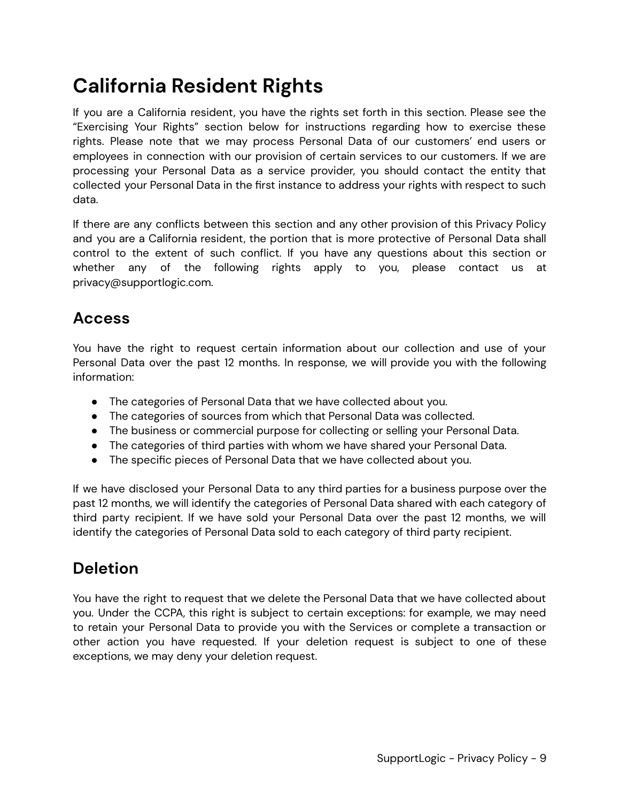### <span id="page-8-0"></span>**California Resident Rights**

If you are a California resident, you have the rights set forth in this section. Please see the "Exercising Your Rights" section below for instructions regarding how to exercise these rights. Please note that we may process Personal Data of our customers' end users or employees in connection with our provision of certain services to our customers. If we are processing your Personal Data as a service provider, you should contact the entity that collected your Personal Data in the first instance to address your rights with respect to such data.

If there are any conflicts between this section and any other provision of this Privacy Policy and you are a California resident, the portion that is more protective of Personal Data shall control to the extent of such conflict. If you have any questions about this section or whether any of the following rights apply to you, please contact us at privacy@supportlogic.com.

#### <span id="page-8-1"></span>**Access**

You have the right to request certain information about our collection and use of your Personal Data over the past 12 months. In response, we will provide you with the following information:

- The categories of Personal Data that we have collected about you.
- The categories of sources from which that Personal Data was collected.
- The business or commercial purpose for collecting or selling your Personal Data.
- The categories of third parties with whom we have shared your Personal Data.
- The specific pieces of Personal Data that we have collected about you.

If we have disclosed your Personal Data to any third parties for a business purpose over the past 12 months, we will identify the categories of Personal Data shared with each category of third party recipient. If we have sold your Personal Data over the past 12 months, we will identify the categories of Personal Data sold to each category of third party recipient.

#### <span id="page-8-2"></span>**Deletion**

You have the right to request that we delete the Personal Data that we have collected about you. Under the CCPA, this right is subject to certain exceptions: for example, we may need to retain your Personal Data to provide you with the Services or complete a transaction or other action you have requested. If your deletion request is subject to one of these exceptions, we may deny your deletion request.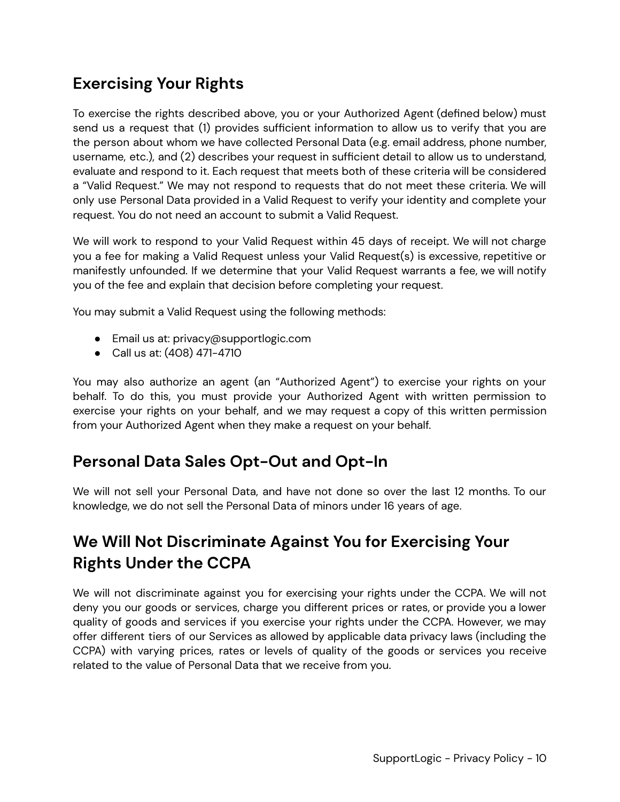### <span id="page-9-0"></span>**Exercising Your Rights**

To exercise the rights described above, you or your Authorized Agent (defined below) must send us a request that (1) provides sufficient information to allow us to verify that you are the person about whom we have collected Personal Data (e.g. email address, phone number, username, etc.), and (2) describes your request in sufficient detail to allow us to understand, evaluate and respond to it. Each request that meets both of these criteria will be considered a "Valid Request." We may not respond to requests that do not meet these criteria. We will only use Personal Data provided in a Valid Request to verify your identity and complete your request. You do not need an account to submit a Valid Request.

We will work to respond to your Valid Request within 45 days of receipt. We will not charge you a fee for making a Valid Request unless your Valid Request(s) is excessive, repetitive or manifestly unfounded. If we determine that your Valid Request warrants a fee, we will notify you of the fee and explain that decision before completing your request.

You may submit a Valid Request using the following methods:

- Email us at: privacy@supportlogic.com
- Call us at: (408) 471-4710

You may also authorize an agent (an "Authorized Agent") to exercise your rights on your behalf. To do this, you must provide your Authorized Agent with written permission to exercise your rights on your behalf, and we may request a copy of this written permission from your Authorized Agent when they make a request on your behalf.

#### <span id="page-9-1"></span>**Personal Data Sales Opt-Out and Opt-In**

We will not sell your Personal Data, and have not done so over the last 12 months. To our knowledge, we do not sell the Personal Data of minors under 16 years of age.

### <span id="page-9-2"></span>**We Will Not Discriminate Against You for Exercising Your Rights Under the CCPA**

We will not discriminate against you for exercising your rights under the CCPA. We will not deny you our goods or services, charge you different prices or rates, or provide you a lower quality of goods and services if you exercise your rights under the CCPA. However, we may offer different tiers of our Services as allowed by applicable data privacy laws (including the CCPA) with varying prices, rates or levels of quality of the goods or services you receive related to the value of Personal Data that we receive from you.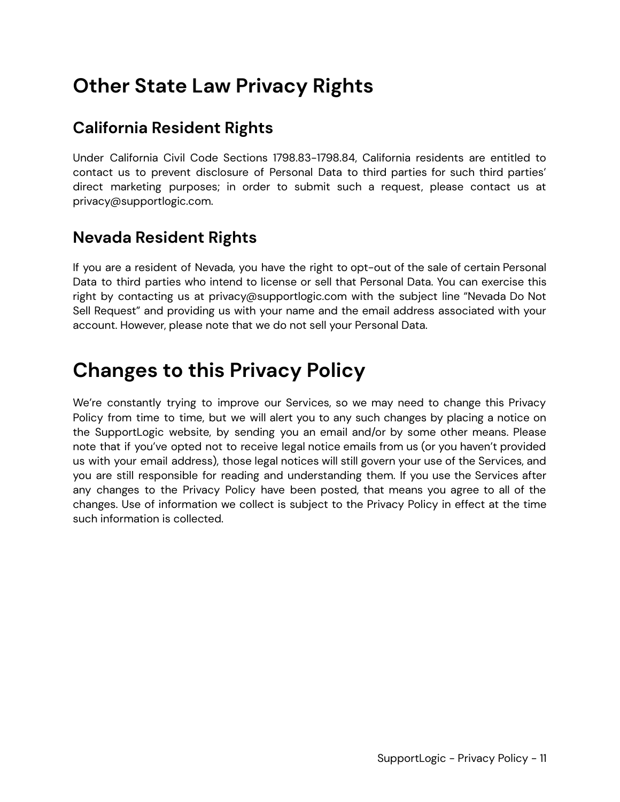### <span id="page-10-0"></span>**Other State Law Privacy Rights**

#### <span id="page-10-1"></span>**California Resident Rights**

Under California Civil Code Sections 1798.83-1798.84, California residents are entitled to contact us to prevent disclosure of Personal Data to third parties for such third parties' direct marketing purposes; in order to submit such a request, please contact us at privacy@supportlogic.com.

#### <span id="page-10-2"></span>**Nevada Resident Rights**

If you are a resident of Nevada, you have the right to opt-out of the sale of certain Personal Data to third parties who intend to license or sell that Personal Data. You can exercise this right by contacting us at privacy@supportlogic.com with the subject line "Nevada Do Not Sell Request" and providing us with your name and the email address associated with your account. However, please note that we do not sell your Personal Data.

### <span id="page-10-3"></span>**Changes to this Privacy Policy**

We're constantly trying to improve our Services, so we may need to change this Privacy Policy from time to time, but we will alert you to any such changes by placing a notice on the SupportLogic website, by sending you an email and/or by some other means. Please note that if you've opted not to receive legal notice emails from us (or you haven't provided us with your email address), those legal notices will still govern your use of the Services, and you are still responsible for reading and understanding them. If you use the Services after any changes to the Privacy Policy have been posted, that means you agree to all of the changes. Use of information we collect is subject to the Privacy Policy in effect at the time such information is collected.